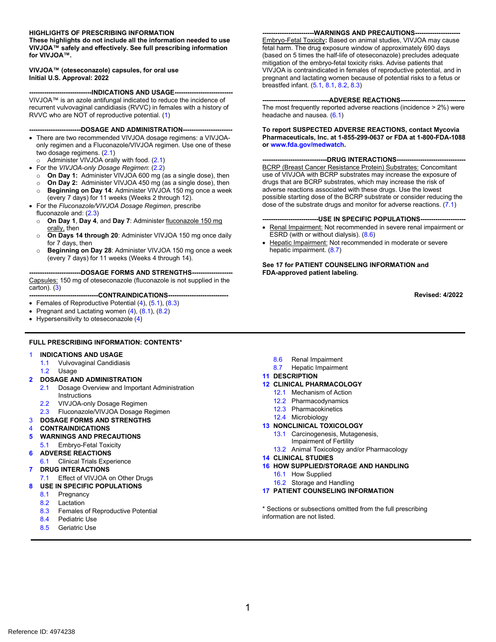#### **HIGHLIGHTS OF PRESCRIBING INFORMATION**

**These highlights do not include all the information needed to use VIVJOA™ safely and effectively. See full prescribing information for VIVJOA™.** 

#### **VIVJOA™ (oteseconazole) capsules, for oral use Initial U.S. Approval: 2022**

----INDICATIONS AND USAGE--VIVJOA™ is an azole antifungal indicated to reduce the incidence of recurrent vulvovaginal candidiasis (RVVC) in females with a history of RVVC who are NOT of reproductive potential. [\(1\)](#page-1-0)

#### **------------------------DOSAGE AND ADMINISTRATION-----------------------**

- There are two recommended VIVJOA dosage regimens: a VIVJOAonly regimen and a Fluconazole/VIVJOA regimen. Use one of these two dosage regimens. [\(2.1\)](#page-1-1)
- o Administer VIVJOA orally with food. [\(2.1\)](#page-1-1)
- For the *VIVJOA-only Dosage Regimen*: [\(2.2\)](#page-1-2)
	- o **On Day 1:** Administer VIVJOA 600 mg (as a single dose), then
	- o **On Day 2:** Administer VIVJOA 450 mg (as a single dose), then **Beginning on Day 14: Administer VIVJOA 150 mg once a week**
- (every 7 days) for 11 weeks (Weeks 2 through 12). • For the *Fluconazole/VIVJOA Dosage Regimen*, prescribe fluconazole and: [\(2.3\)](#page-1-3) 
	- o **On Day 1**, **Day 4**, and **Day 7**: Administer fluconazole 150 mg orally, then
	- o **On Days 14 through 20**: Administer VIVJOA 150 mg once daily for 7 days, then
	- o **Beginning on Day 28**: Administer VIVJOA 150 mg once a week (every 7 days) for 11 weeks (Weeks 4 through 14).

---DOSAGE FORMS AND STRENGTHS--Capsules: 150 mg of oteseconazole (fluconazole is not supplied in the carton). [\(3\)](#page-1-4)

**--------------------------------CONTRAINDICATIONS----------------------------**

- Females of Reproductive Potential [\(4\)](#page-1-5), [\(5.1\)](#page-2-0), [\(8.3\)](#page-4-0)
- Pregnant and Lactating women  $(4)$ ,  $(8.1)$ ,  $(8.2)$
- Hypersensitivity to oteseconazole [\(4\)](#page-1-5)

#### **FULL PRESCRIBING INFORMATION: CONTENTS\***

#### [1](#page-1-0) **INDICATIONS AND USAGE**

- [1.1](#page-1-6) Vulvovaginal Candidiasis
- [1.2](#page-1-7) Usage
- **[2](#page-1-8) DOSAGE AND ADMINISTRATION**
	- [2.1](#page-1-1) Dosage Overview and Important Administration Instructions
	- [2.2](#page-1-2) VIVJOA-only Dosage Regimen
	- [2.3](#page-1-3) Fluconazole/VIVJOA Dosage Regimen
- [3](#page-1-4) **DOSAGE FORMS AND STRENGTHS**
- [4](#page-1-5) **CONTRAINDICATIONS**
- **[5](#page-2-2) WARNINGS AND PRECAUTIONS**
- [5.1](#page-2-0) Embryo-Fetal Toxicity
- **[6](#page-2-3) ADVERSE REACTIONS**
- [6.1](#page-2-1) Clinical Trials Experience
- **[7](#page-3-2) DRUG INTERACTIONS**
- [7.1](#page-3-1) Effect of VIVJOA on Other Drugs
- **[8](#page-3-3) USE IN SPECIFIC POPULATIONS**
	- [8.1](#page-3-0) Pregnancy
	- [8.2](#page-4-1) Lactation
	- [8.3](#page-4-0) Females of Reproductive Potential
	- [8.4](#page-4-2) Pediatric Use
	- [8.5](#page-5-2) Geriatric Use
- [8.6](#page-5-0) Renal Impairment
- [8.7](#page-5-1) Hepatic Impairment

#### **[11](#page-5-3) DESCRIPTION**

- **[12](#page-5-4) CLINICAL PHARMACOLOGY**
	- [12.1](#page-5-5) Mechanism of Action
	- [12.2](#page-5-6) Pharmacodynamics
	- [12.3](#page-6-0) Pharmacokinetics
	- [12.4](#page-7-0) Microbiology
- **[13](#page-7-1) NONCLINICAL TOXICOLOGY**
	- [13.1](#page-7-2) Carcinogenesis, Mutagenesis,
	- Impairment of Fertility
	- [13.2](#page-8-0) Animal Toxicology and/or Pharmacology
- **[14](#page-8-1) CLINICAL STUDIES**
- **[16](#page-11-0) HOW SUPPLIED/STORAGE AND HANDLING**
	- [16.1](#page-11-1) How Supplied
- [16.2](#page-11-2) Storage and Handling
- **[17](#page-11-3) PATIENT COUNSELING INFORMATION**

\* Sections or subsections omitted from the full prescribing information are not listed.

Embryo-Fetal Toxicity**:** Based on animal studies, VIVJOA may cause fetal harm. The drug exposure window of approximately 690 days (based on 5 times the half-life of oteseconazole) precludes adequate mitigation of the embryo-fetal toxicity risks. Advise patients that VIVJOA is contraindicated in females of reproductive potential, and in pregnant and lactating women because of potential risks to a fetus or breastfed infant. [\(5.1,](#page-2-0) [8.1,](#page-3-0) [8.2,](#page-4-1) [8.3\)](#page-4-0)

**------------------------WARNINGS AND PRECAUTIONS---------------------**

#### **----ADVERSE REACTIONS---**

The most frequently reported adverse reactions (incidence > 2%) were headache and nausea.  $(6.1)$ 

**To report SUSPECTED ADVERSE REACTIONS, contact Mycovia Pharmaceuticals, Inc. at 1-855-299-0637 or FDA at 1-800-FDA-1088 o[r www.fda.gov/medwatch.](http://www.fda.gov/medwatch)** 

#### **------------------------------DRUG INTERACTIONS--------------------------------** BCRP (Breast Cancer Resistance Protein) Substrates: Concomitant use of VIVJOA with BCRP substrates may increase the exposure of drugs that are BCRP substrates, which may increase the risk of

adverse reactions associated with these drugs. Use the lowest possible starting dose of the BCRP substrate or consider reducing the dose of the substrate drugs and monitor for adverse reactions. [\(7.1\)](#page-3-1)

#### ----USE IN SPECIFIC POPULATIONS--

- Renal Impairment: Not recommended in severe renal impairment or ESRD (with or without dialysis). [\(8.6\)](#page-5-0)
- Hepatic Impairment: Not recommended in moderate or severe hepatic impairment. [\(8.7\)](#page-5-1)

**See 17 for PATIENT COUNSELING INFORMATION and FDA-approved patient labeling.** 

**Revised: 4/2022**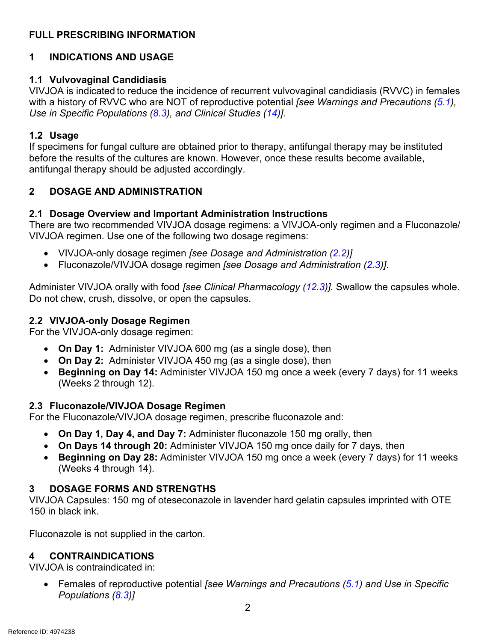# **FULL PRESCRIBING INFORMATION**

# <span id="page-1-0"></span>**1 INDICATIONS AND USAGE**

# <span id="page-1-6"></span>**1.1 Vulvovaginal Candidiasis**

VIVJOA is indicated to reduce the incidence of recurrent vulvovaginal candidiasis (RVVC) in females with a history of RVVC who are NOT of reproductive potential *[see Warnings and Precautions [\(5.1\)](#page-2-0), Use in Specific Populations [\(8.3\)](#page-4-0), and Clinical Studies [\(14\)](#page-8-1)]*.

# <span id="page-1-7"></span>**1.2 Usage**

If specimens for fungal culture are obtained prior to therapy, antifungal therapy may be instituted before the results of the cultures are known. However, once these results become available, antifungal therapy should be adjusted accordingly.

# <span id="page-1-8"></span>**2 DOSAGE AND ADMINISTRATION**

# <span id="page-1-1"></span>**2.1 Dosage Overview and Important Administration Instructions**

There are two recommended VIVJOA dosage regimens: a VIVJOA-only regimen and a Fluconazole/ VIVJOA regimen. Use one of the following two dosage regimens:

- VIVJOA-only dosage regimen *[see Dosage and Administration [\(2.2\)](#page-1-2)]*
- Fluconazole/VIVJOA dosage regimen *[see Dosage and Administration [\(2.3\)](#page-1-3)]*.

Administer VIVJOA orally with food *[see Clinical Pharmacology [\(12.3\)](#page-6-0)].* Swallow the capsules whole. Do not chew, crush, dissolve, or open the capsules.

# <span id="page-1-2"></span>**2.2 VIVJOA-only Dosage Regimen**

For the VIVJOA-only dosage regimen:

- **On Day 1:** Administer VIVJOA 600 mg (as a single dose), then
- **On Day 2:** Administer VIVJOA 450 mg (as a single dose), then
- **Beginning on Day 14:** Administer VIVJOA 150 mg once a week (every 7 days) for 11 weeks (Weeks 2 through 12).

# <span id="page-1-3"></span>**2.3 Fluconazole/VIVJOA Dosage Regimen**

For the Fluconazole/VIVJOA dosage regimen, prescribe fluconazole and:

- **On Day 1, Day 4, and Day 7:** Administer fluconazole 150 mg orally, then
- **On Days 14 through 20:** Administer VIVJOA 150 mg once daily for 7 days, then
- **Beginning on Day 28:** Administer VIVJOA 150 mg once a week (every 7 days) for 11 weeks (Weeks 4 through 14).

# <span id="page-1-4"></span>**3 DOSAGE FORMS AND STRENGTHS**

VIVJOA Capsules: 150 mg of oteseconazole in lavender hard gelatin capsules imprinted with OTE 150 in black ink.

Fluconazole is not supplied in the carton.

# <span id="page-1-5"></span>**4 CONTRAINDICATIONS**

VIVJOA is contraindicated in:

• Females of reproductive potential *[see Warnings and Precautions [\(5.1\)](#page-2-0) and Use in Specific Populations [\(8.3\)](#page-4-0)]*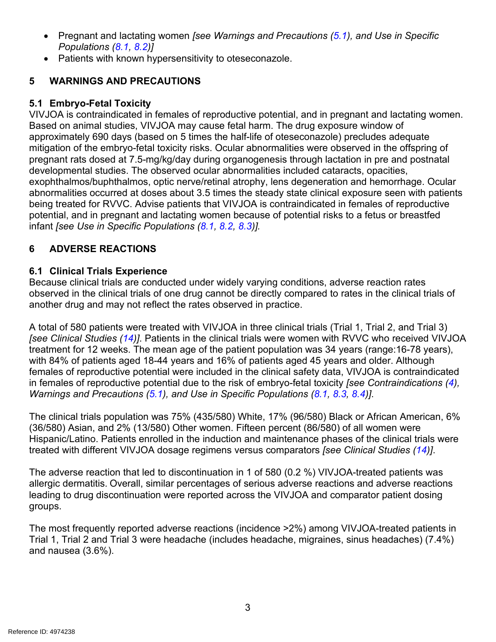- Pregnant and lactating women *[see Warnings and Precautions [\(5.1\)](#page-2-0), and Use in Specific Populations [\(8.1,](#page-3-0) [8.2\)](#page-4-1)]*
- Patients with known hypersensitivity to oteseconazole.

# <span id="page-2-2"></span>**5 WARNINGS AND PRECAUTIONS**

# <span id="page-2-0"></span>**5.1 Embryo-Fetal Toxicity**

VIVJOA is contraindicated in females of reproductive potential, and in pregnant and lactating women. Based on animal studies, VIVJOA may cause fetal harm. The drug exposure window of approximately 690 days (based on 5 times the half-life of oteseconazole) precludes adequate mitigation of the embryo-fetal toxicity risks. Ocular abnormalities were observed in the offspring of pregnant rats dosed at 7.5-mg/kg/day during organogenesis through lactation in pre and postnatal developmental studies. The observed ocular abnormalities included cataracts, opacities, exophthalmos/buphthalmos, optic nerve/retinal atrophy, lens degeneration and hemorrhage. Ocular abnormalities occurred at doses about 3.5 times the steady state clinical exposure seen with patients being treated for RVVC. Advise patients that VIVJOA is contraindicated in females of reproductive potential, and in pregnant and lactating women because of potential risks to a fetus or breastfed infant *[see Use in Specific Populations [\(8.1,](#page-3-0) [8.2,](#page-4-1) [8.3\)](#page-4-0)].*

# <span id="page-2-3"></span>**6 ADVERSE REACTIONS**

# <span id="page-2-1"></span>**6.1 Clinical Trials Experience**

Because clinical trials are conducted under widely varying conditions, adverse reaction rates observed in the clinical trials of one drug cannot be directly compared to rates in the clinical trials of another drug and may not reflect the rates observed in practice.

A total of 580 patients were treated with VIVJOA in three clinical trials (Trial 1, Trial 2, and Trial 3) *[see Clinical Studies [\(14\)](#page-8-1)]*. Patients in the clinical trials were women with RVVC who received VIVJOA treatment for 12 weeks. The mean age of the patient population was 34 years (range:16-78 years), with 84% of patients aged 18-44 years and 16% of patients aged 45 years and older. Although females of reproductive potential were included in the clinical safety data, VIVJOA is contraindicated in females of reproductive potential due to the risk of embryo-fetal toxicity *[see Contraindications [\(4\)](#page-1-5), Warnings and Precautions [\(5.1\)](#page-2-0), and Use in Specific Populations [\(8.1,](#page-3-0) [8.3,](#page-4-0) [8.4\)](#page-4-2)]*.

The clinical trials population was 75% (435/580) White, 17% (96/580) Black or African American, 6% (36/580) Asian, and 2% (13/580) Other women. Fifteen percent (86/580) of all women were Hispanic/Latino. Patients enrolled in the induction and maintenance phases of the clinical trials were treated with different VIVJOA dosage regimens versus comparators *[see Clinical Studies [\(14\)](#page-8-1)]*.

The adverse reaction that led to discontinuation in 1 of 580 (0.2 %) VIVJOA-treated patients was allergic dermatitis. Overall, similar percentages of serious adverse reactions and adverse reactions leading to drug discontinuation were reported across the VIVJOA and comparator patient dosing groups.

The most frequently reported adverse reactions (incidence >2%) among VIVJOA-treated patients in Trial 1, Trial 2 and Trial 3 were headache (includes headache, migraines, sinus headaches) (7.4%) and nausea (3.6%).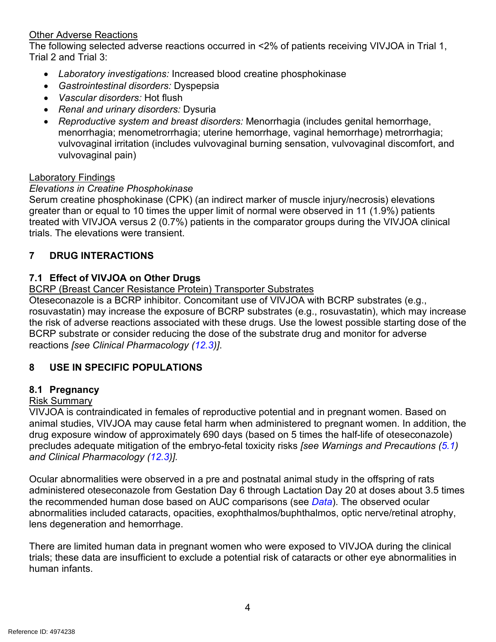## Other Adverse Reactions

The following selected adverse reactions occurred in <2% of patients receiving VIVJOA in Trial 1, Trial 2 and Trial 3:

- *Laboratory investigations:* Increased blood creatine phosphokinase
- *Gastrointestinal disorders:* Dyspepsia
- *Vascular disorders:* Hot flush
- *Renal and urinary disorders:* Dysuria
- *Reproductive system and breast disorders:* Menorrhagia (includes genital hemorrhage, menorrhagia; menometrorrhagia; uterine hemorrhage, vaginal hemorrhage) metrorrhagia; vulvovaginal irritation (includes vulvovaginal burning sensation, vulvovaginal discomfort, and vulvovaginal pain)

## Laboratory Findings

# *Elevations in Creatine Phosphokinase*

Serum creatine phosphokinase (CPK) (an indirect marker of muscle injury/necrosis) elevations greater than or equal to 10 times the upper limit of normal were observed in 11 (1.9%) patients treated with VIVJOA versus 2 (0.7%) patients in the comparator groups during the VIVJOA clinical trials. The elevations were transient.

# <span id="page-3-2"></span>**7 DRUG INTERACTIONS**

# <span id="page-3-1"></span>**7.1 Effect of VIVJOA on Other Drugs**

## BCRP (Breast Cancer Resistance Protein) Transporter Substrates

Oteseconazole is a BCRP inhibitor. Concomitant use of VIVJOA with BCRP substrates (e.g., rosuvastatin) may increase the exposure of BCRP substrates (e.g., rosuvastatin), which may increase the risk of adverse reactions associated with these drugs. Use the lowest possible starting dose of the BCRP substrate or consider reducing the dose of the substrate drug and monitor for adverse reactions *[see Clinical Pharmacology [\(12.3\)](#page-6-0)]*.

# <span id="page-3-3"></span>**8 USE IN SPECIFIC POPULATIONS**

# <span id="page-3-0"></span>**8.1 Pregnancy**

#### Risk Summary

VIVJOA is contraindicated in females of reproductive potential and in pregnant women. Based on animal studies, VIVJOA may cause fetal harm when administered to pregnant women. In addition, the drug exposure window of approximately 690 days (based on 5 times the half-life of oteseconazole) precludes adequate mitigation of the embryo-fetal toxicity risks *[see Warnings and Precautions [\(5.1\)](#page-2-0) and Clinical Pharmacology [\(12.3\)](#page-6-0)].*

Ocular abnormalities were observed in a pre and postnatal animal study in the offspring of rats administered oteseconazole from Gestation Day 6 through Lactation Day 20 at doses about 3.5 times the recommended human dose based on AUC comparisons (see *[Data](#page-4-3)*). The observed ocular abnormalities included cataracts, opacities, exophthalmos/buphthalmos, optic nerve/retinal atrophy, lens degeneration and hemorrhage.

There are limited human data in pregnant women who were exposed to VIVJOA during the clinical trials; these data are insufficient to exclude a potential risk of cataracts or other eye abnormalities in human infants.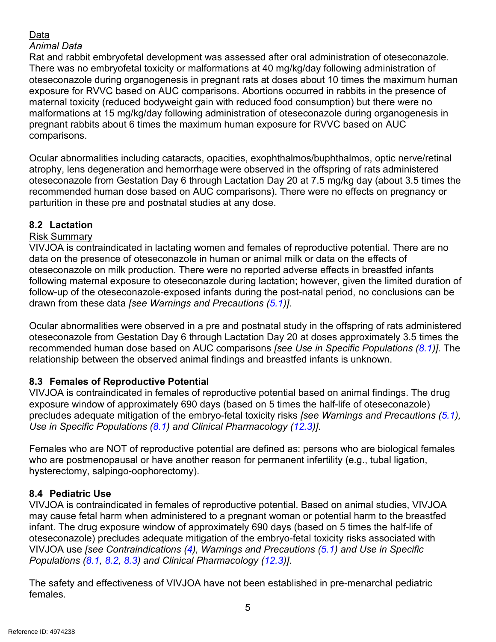# <span id="page-4-3"></span>Data

## *Animal Data*

Rat and rabbit embryofetal development was assessed after oral administration of oteseconazole. There was no embryofetal toxicity or malformations at 40 mg/kg/day following administration of oteseconazole during organogenesis in pregnant rats at doses about 10 times the maximum human exposure for RVVC based on AUC comparisons. Abortions occurred in rabbits in the presence of maternal toxicity (reduced bodyweight gain with reduced food consumption) but there were no malformations at 15 mg/kg/day following administration of oteseconazole during organogenesis in pregnant rabbits about 6 times the maximum human exposure for RVVC based on AUC comparisons.

Ocular abnormalities including cataracts, opacities, exophthalmos/buphthalmos, optic nerve/retinal atrophy, lens degeneration and hemorrhage were observed in the offspring of rats administered oteseconazole from Gestation Day 6 through Lactation Day 20 at 7.5 mg/kg day (about 3.5 times the recommended human dose based on AUC comparisons). There were no effects on pregnancy or parturition in these pre and postnatal studies at any dose.

# <span id="page-4-1"></span>**8.2 Lactation**

# Risk Summary

VIVJOA is contraindicated in lactating women and females of reproductive potential. There are no data on the presence of oteseconazole in human or animal milk or data on the effects of oteseconazole on milk production. There were no reported adverse effects in breastfed infants following maternal exposure to oteseconazole during lactation; however, given the limited duration of follow-up of the oteseconazole-exposed infants during the post-natal period, no conclusions can be drawn from these data *[see Warnings and Precautions [\(5.1\)](#page-2-0)]*.

Ocular abnormalities were observed in a pre and postnatal study in the offspring of rats administered oteseconazole from Gestation Day 6 through Lactation Day 20 at doses approximately 3.5 times the recommended human dose based on AUC comparisons *[see Use in Specific Populations [\(8.1\)](#page-3-0)].* The relationship between the observed animal findings and breastfed infants is unknown.

# <span id="page-4-0"></span>**8.3 Females of Reproductive Potential**

VIVJOA is contraindicated in females of reproductive potential based on animal findings. The drug exposure window of approximately 690 days (based on 5 times the half-life of oteseconazole) precludes adequate mitigation of the embryo-fetal toxicity risks *[see Warnings and Precautions [\(5.1\)](#page-2-0), Use in Specific Populations [\(8.1\)](#page-3-0) and Clinical Pharmacology [\(12.3\)](#page-6-0)].*

Females who are NOT of reproductive potential are defined as: persons who are biological females who are postmenopausal or have another reason for permanent infertility (e.g., tubal ligation, hysterectomy, salpingo-oophorectomy).

# <span id="page-4-2"></span>**8.4 Pediatric Use**

VIVJOA is contraindicated in females of reproductive potential. Based on animal studies, VIVJOA may cause fetal harm when administered to a pregnant woman or potential harm to the breastfed infant. The drug exposure window of approximately 690 days (based on 5 times the half-life of oteseconazole) precludes adequate mitigation of the embryo-fetal toxicity risks associated with VIVJOA use *[see Contraindications [\(4\)](#page-1-5), Warnings and Precautions [\(5.1\)](#page-2-0) and Use in Specific Populations [\(8.1,](#page-3-0) [8.2,](#page-4-1) [8.3\)](#page-4-0) and Clinical Pharmacology [\(12.3\)](#page-6-0)]*.

The safety and effectiveness of VIVJOA have not been established in pre-menarchal pediatric females.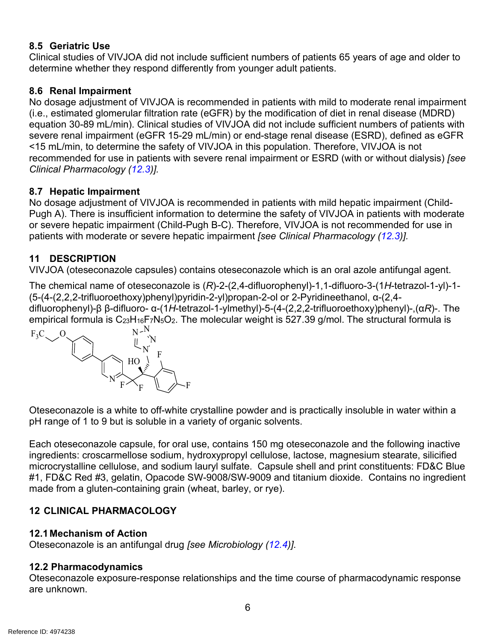# <span id="page-5-2"></span>**8.5 Geriatric Use**

Clinical studies of VIVJOA did not include sufficient numbers of patients 65 years of age and older to determine whether they respond differently from younger adult patients.

# <span id="page-5-0"></span>**8.6 Renal Impairment**

No dosage adjustment of VIVJOA is recommended in patients with mild to moderate renal impairment (i.e., estimated glomerular filtration rate (eGFR) by the modification of diet in renal disease (MDRD) equation 30-89 mL/min). Clinical studies of VIVJOA did not include sufficient numbers of patients with severe renal impairment (eGFR 15-29 mL/min) or end-stage renal disease (ESRD), defined as eGFR <15 mL/min, to determine the safety of VIVJOA in this population. Therefore, VIVJOA is not recommended for use in patients with severe renal impairment or ESRD (with or without dialysis) *[see Clinical Pharmacology [\(12.3\)](#page-6-0)].*

## <span id="page-5-1"></span>**8.7 Hepatic Impairment**

No dosage adjustment of VIVJOA is recommended in patients with mild hepatic impairment (Child-Pugh A). There is insufficient information to determine the safety of VIVJOA in patients with moderate or severe hepatic impairment (Child-Pugh B-C). Therefore, VIVJOA is not recommended for use in patients with moderate or severe hepatic impairment *[see Clinical Pharmacology [\(12.3\)](#page-6-0)].*

## <span id="page-5-3"></span>**11 DESCRIPTION**

VIVJOA (oteseconazole capsules) contains oteseconazole which is an oral azole antifungal agent.

The chemical name of oteseconazole is (*R*)-2-(2,4-difluorophenyl)-1,1-difluoro-3-(1*H*-tetrazol-1-yl)-1- (5-(4-(2,2,2-trifluoroethoxy)phenyl)pyridin-2-yl)propan-2-ol or 2-Pyridineethanol, α-(2,4 difluorophenyl)-β β-difluoro- α-(1*H*-tetrazol-1-ylmethyl)-5-(4-(2,2,2-trifluoroethoxy)phenyl)-,(α*R*)-. The empirical formula is C<sub>23</sub>H<sub>16</sub>F<sub>7</sub>N<sub>5</sub>O<sub>2</sub>. The molecular weight is 527.39 g/mol. The structural formula is



Oteseconazole is a white to off-white crystalline powder and is practically insoluble in water within a pH range of 1 to 9 but is soluble in a variety of organic solvents.

Each oteseconazole capsule, for oral use, contains 150 mg oteseconazole and the following inactive ingredients: croscarmellose sodium, hydroxypropyl cellulose, lactose, magnesium stearate, silicified microcrystalline cellulose, and sodium lauryl sulfate. Capsule shell and print constituents: FD&C Blue #1, FD&C Red #3, gelatin, Opacode SW-9008/SW-9009 and titanium dioxide. Contains no ingredient made from a gluten-containing grain (wheat, barley, or rye).

# <span id="page-5-4"></span>**12 CLINICAL PHARMACOLOGY**

#### <span id="page-5-5"></span>**12.1 Mechanism of Action**

Oteseconazole is an antifungal drug *[see Microbiology [\(12.4\)](#page-7-0)]*.

#### <span id="page-5-6"></span>**12.2 Pharmacodynamics**

Oteseconazole exposure-response relationships and the time course of pharmacodynamic response are unknown.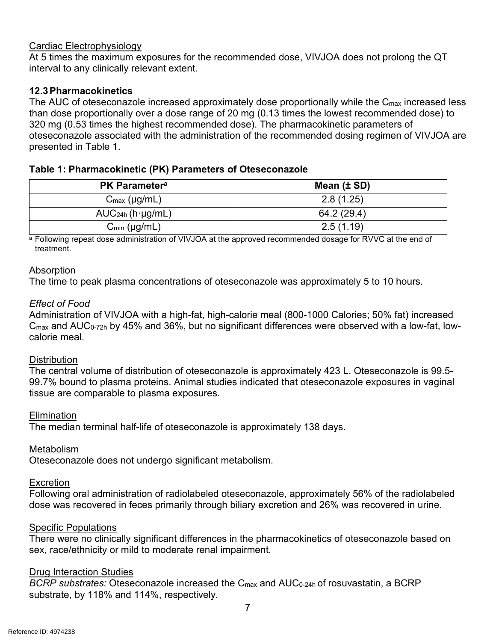#### Cardiac Electrophysiology

At 5 times the maximum exposures for the recommended dose, VIVJOA does not prolong the QT interval to any clinically relevant extent.

## <span id="page-6-0"></span>**12.3Pharmacokinetics**

The AUC of oteseconazole increased approximately dose proportionally while the C<sub>max</sub> increased less than dose proportionally over a dose range of 20 mg (0.13 times the lowest recommended dose) to 320 mg (0.53 times the highest recommended dose). The pharmacokinetic parameters of oteseconazole associated with the administration of the recommended dosing regimen of VIVJOA are presented in Table 1.

## **Table 1: Pharmacokinetic (PK) Parameters of Oteseconazole**

| <b>PK Parameter</b> <sup>a</sup> | Mean $(\pm SD)$ |  |  |
|----------------------------------|-----------------|--|--|
| $C_{\text{max}}$ (µg/mL)         | 2.8(1.25)       |  |  |
| AUC <sub>24h</sub> (h·µg/mL)     | 64.2 (29.4)     |  |  |
| $C_{min}$ (µg/mL)                | 2.5(1.19)       |  |  |

a Following repeat dose administration of VIVJOA at the approved recommended dosage for RVVC at the end of treatment.

## Absorption

The time to peak plasma concentrations of oteseconazole was approximately 5 to 10 hours.

## *Effect of Food*

Administration of VIVJOA with a high-fat, high-calorie meal (800-1000 Calories; 50% fat) increased Cmax and AUC0-72h by 45% and 36%, but no significant differences were observed with a low-fat, lowcalorie meal.

#### **Distribution**

The central volume of distribution of oteseconazole is approximately 423 L. Oteseconazole is 99.5- 99.7% bound to plasma proteins. Animal studies indicated that oteseconazole exposures in vaginal tissue are comparable to plasma exposures.

#### **Elimination**

The median terminal half-life of oteseconazole is approximately 138 days.

#### Metabolism

Oteseconazole does not undergo significant metabolism.

#### **Excretion**

Following oral administration of radiolabeled oteseconazole, approximately 56% of the radiolabeled dose was recovered in feces primarily through biliary excretion and 26% was recovered in urine.

#### Specific Populations

There were no clinically significant differences in the pharmacokinetics of oteseconazole based on sex, race/ethnicity or mild to moderate renal impairment.

#### Drug Interaction Studies

*BCRP substrates:* Oteseconazole increased the C<sub>max</sub> and AUC<sub>0-24h</sub> of rosuvastatin, a BCRP substrate, by 118% and 114%, respectively*.*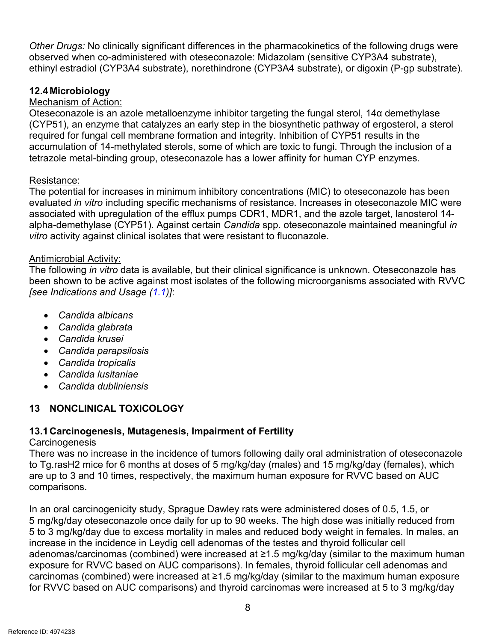*Other Drugs:* No clinically significant differences in the pharmacokinetics of the following drugs were observed when co-administered with oteseconazole: Midazolam (sensitive CYP3A4 substrate), ethinyl estradiol (CYP3A4 substrate), norethindrone (CYP3A4 substrate), or digoxin (P-gp substrate).

# <span id="page-7-0"></span>**12.4 Microbiology**

# Mechanism of Action:

Oteseconazole is an azole metalloenzyme inhibitor targeting the fungal sterol, 14α demethylase (CYP51), an enzyme that catalyzes an early step in the biosynthetic pathway of ergosterol, a sterol required for fungal cell membrane formation and integrity. Inhibition of CYP51 results in the accumulation of 14-methylated sterols, some of which are toxic to fungi. Through the inclusion of a tetrazole metal-binding group, oteseconazole has a lower affinity for human CYP enzymes.

# Resistance:

The potential for increases in minimum inhibitory concentrations (MIC) to oteseconazole has been evaluated *in vitro* including specific mechanisms of resistance*.* Increases in oteseconazole MIC were associated with upregulation of the efflux pumps CDR1, MDR1, and the azole target, lanosterol 14 alpha-demethylase (CYP51). Against certain *Candida* spp. oteseconazole maintained meaningful *in vitro* activity against clinical isolates that were resistant to fluconazole.

## Antimicrobial Activity:

The following *in vitro* data is available, but their clinical significance is unknown. Oteseconazole has been shown to be active against most isolates of the following microorganisms associated with RVVC *[see Indications and Usage [\(1.1\)](#page-1-6)]*:

- *Candida albicans*
- *Candida glabrata*
- *Candida krusei*
- *Candida parapsilosis*
- *Candida tropicalis*
- *Candida lusitaniae*
- *Candida dubliniensis*

# <span id="page-7-1"></span>**13 NONCLINICAL TOXICOLOGY**

# <span id="page-7-2"></span>**13.1Carcinogenesis, Mutagenesis, Impairment of Fertility**

#### **Carcinogenesis**

There was no increase in the incidence of tumors following daily oral administration of oteseconazole to Tg.rasH2 mice for 6 months at doses of 5 mg/kg/day (males) and 15 mg/kg/day (females), which are up to 3 and 10 times, respectively, the maximum human exposure for RVVC based on AUC comparisons.

In an oral carcinogenicity study, Sprague Dawley rats were administered doses of 0.5, 1.5, or 5 mg/kg/day oteseconazole once daily for up to 90 weeks. The high dose was initially reduced from 5 to 3 mg/kg/day due to excess mortality in males and reduced body weight in females. In males, an increase in the incidence in Leydig cell adenomas of the testes and thyroid follicular cell adenomas/carcinomas (combined) were increased at ≥1.5 mg/kg/day (similar to the maximum human exposure for RVVC based on AUC comparisons). In females, thyroid follicular cell adenomas and carcinomas (combined) were increased at ≥1.5 mg/kg/day (similar to the maximum human exposure for RVVC based on AUC comparisons) and thyroid carcinomas were increased at 5 to 3 mg/kg/day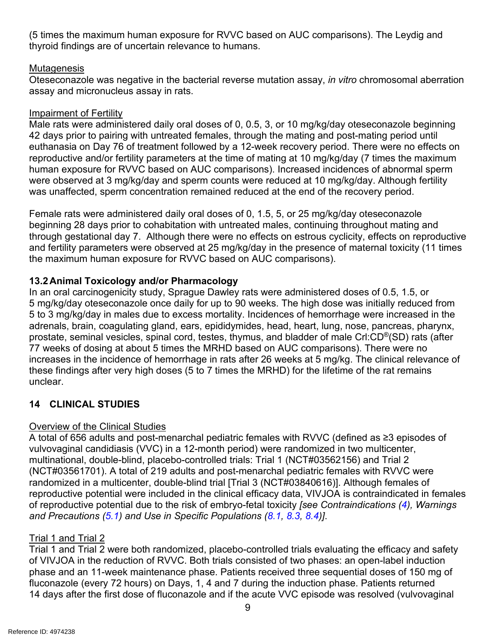(5 times the maximum human exposure for RVVC based on AUC comparisons). The Leydig and thyroid findings are of uncertain relevance to humans.

## **Mutagenesis**

Oteseconazole was negative in the bacterial reverse mutation assay, *in vitro* chromosomal aberration assay and micronucleus assay in rats.

## Impairment of Fertility

Male rats were administered daily oral doses of 0, 0.5, 3, or 10 mg/kg/day oteseconazole beginning 42 days prior to pairing with untreated females, through the mating and post-mating period until euthanasia on Day 76 of treatment followed by a 12-week recovery period. There were no effects on reproductive and/or fertility parameters at the time of mating at 10 mg/kg/day (7 times the maximum human exposure for RVVC based on AUC comparisons). Increased incidences of abnormal sperm were observed at 3 mg/kg/day and sperm counts were reduced at 10 mg/kg/day. Although fertility was unaffected, sperm concentration remained reduced at the end of the recovery period.

Female rats were administered daily oral doses of 0, 1.5, 5, or 25 mg/kg/day oteseconazole beginning 28 days prior to cohabitation with untreated males, continuing throughout mating and through gestational day 7. Although there were no effects on estrous cyclicity, effects on reproductive and fertility parameters were observed at 25 mg/kg/day in the presence of maternal toxicity (11 times the maximum human exposure for RVVC based on AUC comparisons).

# <span id="page-8-0"></span>**13.2Animal Toxicology and/or Pharmacology**

In an oral carcinogenicity study, Sprague Dawley rats were administered doses of 0.5, 1.5, or 5 mg/kg/day oteseconazole once daily for up to 90 weeks. The high dose was initially reduced from 5 to 3 mg/kg/day in males due to excess mortality. Incidences of hemorrhage were increased in the adrenals, brain, coagulating gland, ears, epididymides, head, heart, lung, nose, pancreas, pharynx, prostate, seminal vesicles, spinal cord, testes, thymus, and bladder of male Crl:CD®(SD) rats (after 77 weeks of dosing at about 5 times the MRHD based on AUC comparisons). There were no increases in the incidence of hemorrhage in rats after 26 weeks at 5 mg/kg. The clinical relevance of these findings after very high doses (5 to 7 times the MRHD) for the lifetime of the rat remains unclear.

# <span id="page-8-1"></span>**14 CLINICAL STUDIES**

# Overview of the Clinical Studies

A total of 656 adults and post-menarchal pediatric females with RVVC (defined as ≥3 episodes of vulvovaginal candidiasis (VVC) in a 12-month period) were randomized in two multicenter, multinational, double-blind, placebo-controlled trials: Trial 1 (NCT#03562156) and Trial 2 (NCT#03561701). A total of 219 adults and post-menarchal pediatric females with RVVC were randomized in a multicenter, double-blind trial [Trial 3 (NCT#03840616)]. Although females of reproductive potential were included in the clinical efficacy data, VIVJOA is contraindicated in females of reproductive potential due to the risk of embryo-fetal toxicity *[see Contraindications [\(4\)](#page-1-5), Warnings and Precautions [\(5.1\)](#page-2-0) and Use in Specific Populations [\(8.1,](#page-3-0) [8.3,](#page-4-0) [8.4\)](#page-4-2)]*.

# Trial 1 and Trial 2

Trial 1 and Trial 2 were both randomized, placebo-controlled trials evaluating the efficacy and safety of VIVJOA in the reduction of RVVC. Both trials consisted of two phases: an open-label induction phase and an 11-week maintenance phase. Patients received three sequential doses of 150 mg of fluconazole (every 72 hours) on Days, 1, 4 and 7 during the induction phase. Patients returned 14 days after the first dose of fluconazole and if the acute VVC episode was resolved (vulvovaginal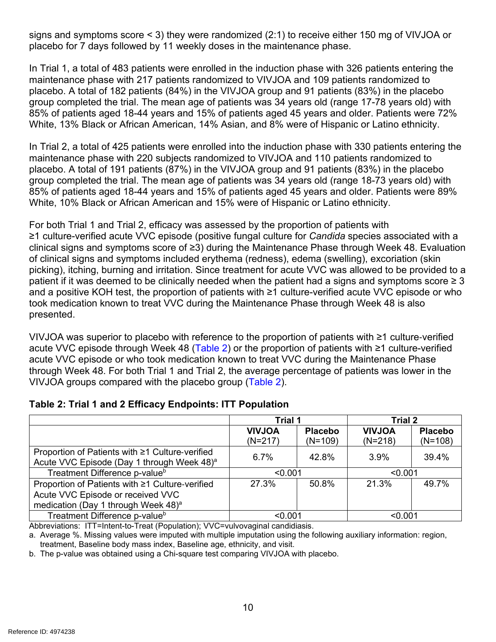signs and symptoms score < 3) they were randomized (2:1) to receive either 150 mg of VIVJOA or placebo for 7 days followed by 11 weekly doses in the maintenance phase.

In Trial 1, a total of 483 patients were enrolled in the induction phase with 326 patients entering the maintenance phase with 217 patients randomized to VIVJOA and 109 patients randomized to placebo. A total of 182 patients (84%) in the VIVJOA group and 91 patients (83%) in the placebo group completed the trial. The mean age of patients was 34 years old (range 17-78 years old) with 85% of patients aged 18-44 years and 15% of patients aged 45 years and older. Patients were 72% White, 13% Black or African American, 14% Asian, and 8% were of Hispanic or Latino ethnicity.

In Trial 2, a total of 425 patients were enrolled into the induction phase with 330 patients entering the maintenance phase with 220 subjects randomized to VIVJOA and 110 patients randomized to placebo. A total of 191 patients (87%) in the VIVJOA group and 91 patients (83%) in the placebo group completed the trial. The mean age of patients was 34 years old (range 18-73 years old) with 85% of patients aged 18-44 years and 15% of patients aged 45 years and older. Patients were 89% White, 10% Black or African American and 15% were of Hispanic or Latino ethnicity.

For both Trial 1 and Trial 2, efficacy was assessed by the proportion of patients with ≥1 culture-verified acute VVC episode (positive fungal culture for *Candida* species associated with a clinical signs and symptoms score of ≥3) during the Maintenance Phase through Week 48. Evaluation of clinical signs and symptoms included erythema (redness), edema (swelling), excoriation (skin picking), itching, burning and irritation. Since treatment for acute VVC was allowed to be provided to a patient if it was deemed to be clinically needed when the patient had a signs and symptoms score  $\geq 3$ and a positive KOH test, the proportion of patients with ≥1 culture-verified acute VVC episode or who took medication known to treat VVC during the Maintenance Phase through Week 48 is also presented.

VIVJOA was superior to placebo with reference to the proportion of patients with ≥1 culture‑verified acute VVC episode through Week 48 [\(Table 2\)](#page-9-0) or the proportion of patients with ≥1 culture-verified acute VVC episode or who took medication known to treat VVC during the Maintenance Phase through Week 48. For both Trial 1 and Trial 2, the average percentage of patients was lower in the VIVJOA groups compared with the placebo group [\(Table](#page-9-0) 2).

<span id="page-9-0"></span>

| Table 2: Trial 1 and 2 Efficacy Endpoints: ITT Population |  |
|-----------------------------------------------------------|--|
|-----------------------------------------------------------|--|

|                                                                                                                                         | <b>Trial 1</b>             |                             | <b>Trial 2</b>             |                             |
|-----------------------------------------------------------------------------------------------------------------------------------------|----------------------------|-----------------------------|----------------------------|-----------------------------|
|                                                                                                                                         | <b>AOLVIV</b><br>$(N=217)$ | <b>Placebo</b><br>$(N=109)$ | <b>NOLVIV</b><br>$(N=218)$ | <b>Placebo</b><br>$(N=108)$ |
| Proportion of Patients with ≥1 Culture-verified<br>Acute VVC Episode (Day 1 through Week 48) <sup>a</sup>                               | 6.7%                       | 42.8%                       | 3.9%                       | 39.4%                       |
| Treatment Difference p-value <sup>b</sup>                                                                                               | < 0.001                    |                             | < 0.001                    |                             |
| Proportion of Patients with ≥1 Culture-verified<br>Acute VVC Episode or received VVC<br>medication (Day 1 through Week 48) <sup>a</sup> | 27.3%                      | 50.8%                       | 21.3%                      | 49.7%                       |
| Treatment Difference p-value <sup>b</sup>                                                                                               | < 0.001                    |                             | < 0.001                    |                             |

Abbreviations: ITT=Intent-to-Treat (Population); VVC=vulvovaginal candidiasis.

a. Average %. Missing values were imputed with multiple imputation using the following auxiliary information: region, treatment, Baseline body mass index, Baseline age, ethnicity, and visit.

b. The p-value was obtained using a Chi-square test comparing VIVJOA with placebo.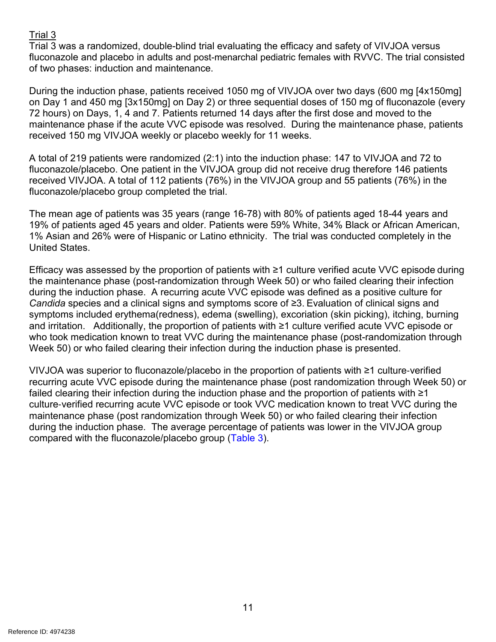# Trial 3

Trial 3 was a randomized, double-blind trial evaluating the efficacy and safety of VIVJOA versus fluconazole and placebo in adults and post-menarchal pediatric females with RVVC. The trial consisted of two phases: induction and maintenance.

During the induction phase, patients received 1050 mg of VIVJOA over two days (600 mg [4x150mg] on Day 1 and 450 mg [3x150mg] on Day 2) or three sequential doses of 150 mg of fluconazole (every 72 hours) on Days, 1, 4 and 7. Patients returned 14 days after the first dose and moved to the maintenance phase if the acute VVC episode was resolved. During the maintenance phase, patients received 150 mg VIVJOA weekly or placebo weekly for 11 weeks.

A total of 219 patients were randomized (2:1) into the induction phase: 147 to VIVJOA and 72 to fluconazole/placebo. One patient in the VIVJOA group did not receive drug therefore 146 patients received VIVJOA. A total of 112 patients (76%) in the VIVJOA group and 55 patients (76%) in the fluconazole/placebo group completed the trial.

The mean age of patients was 35 years (range 16-78) with 80% of patients aged 18-44 years and 19% of patients aged 45 years and older. Patients were 59% White, 34% Black or African American, 1% Asian and 26% were of Hispanic or Latino ethnicity. The trial was conducted completely in the United States.

Efficacy was assessed by the proportion of patients with ≥1 culture verified acute VVC episode during the maintenance phase (post-randomization through Week 50) or who failed clearing their infection during the induction phase. A recurring acute VVC episode was defined as a positive culture for *Candida* species and a clinical signs and symptoms score of ≥3. Evaluation of clinical signs and symptoms included erythema(redness), edema (swelling), excoriation (skin picking), itching, burning and irritation. Additionally, the proportion of patients with ≥1 culture verified acute VVC episode or who took medication known to treat VVC during the maintenance phase (post-randomization through Week 50) or who failed clearing their infection during the induction phase is presented.

VIVJOA was superior to fluconazole/placebo in the proportion of patients with ≥1 culture‑verified recurring acute VVC episode during the maintenance phase (post randomization through Week 50) or failed clearing their infection during the induction phase and the proportion of patients with ≥1 culture‑verified recurring acute VVC episode or took VVC medication known to treat VVC during the maintenance phase (post randomization through Week 50) or who failed clearing their infection during the induction phase. The average percentage of patients was lower in the VIVJOA group compared with the fluconazole/placebo group [\(Table 3\)](#page-11-4).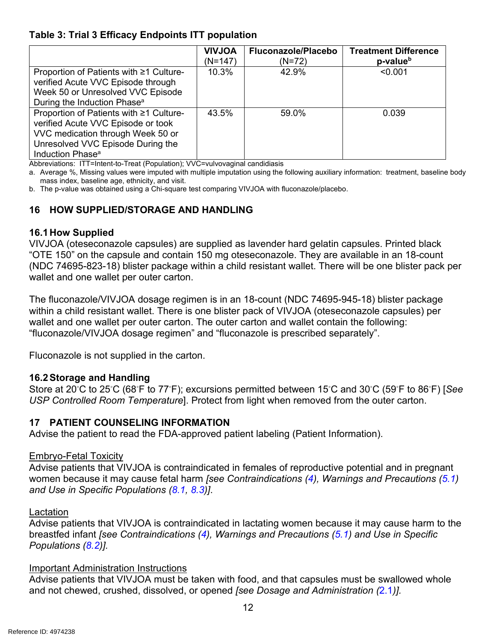# <span id="page-11-4"></span>**Table 3: Trial 3 Efficacy Endpoints ITT population**

|                                                                                                                                                                                         | <b>NOLVIV</b><br>(N=147) | Fluconazole/Placebo<br>$(N=72)$ | <b>Treatment Difference</b><br>p-value <sup>b</sup> |
|-----------------------------------------------------------------------------------------------------------------------------------------------------------------------------------------|--------------------------|---------------------------------|-----------------------------------------------------|
| Proportion of Patients with ≥1 Culture-<br>verified Acute VVC Episode through<br>Week 50 or Unresolved VVC Episode<br>During the Induction Phase <sup>a</sup>                           | 10.3%                    | 42.9%                           | < 0.001                                             |
| Proportion of Patients with ≥1 Culture-<br>verified Acute VVC Episode or took<br>VVC medication through Week 50 or<br>Unresolved VVC Episode During the<br>Induction Phase <sup>a</sup> | 43.5%                    | 59.0%                           | 0.039                                               |

Abbreviations: ITT=Intent-to-Treat (Population); VVC=vulvovaginal candidiasis

a. Average %, Missing values were imputed with multiple imputation using the following auxiliary information: treatment, baseline body mass index, baseline age, ethnicity, and visit.

b. The p-value was obtained using a Chi-square test comparing VIVJOA with fluconazole/placebo.

# <span id="page-11-0"></span>**16 HOW SUPPLIED/STORAGE AND HANDLING**

#### <span id="page-11-1"></span>**16.1How Supplied**

VIVJOA (oteseconazole capsules) are supplied as lavender hard gelatin capsules. Printed black "OTE 150" on the capsule and contain 150 mg oteseconazole. They are available in an 18-count (NDC 74695-823-18) blister package within a child resistant wallet. There will be one blister pack per wallet and one wallet per outer carton.

The fluconazole/VIVJOA dosage regimen is in an 18-count (NDC 74695-945-18) blister package within a child resistant wallet. There is one blister pack of VIVJOA (oteseconazole capsules) per wallet and one wallet per outer carton. The outer carton and wallet contain the following: "fluconazole/VIVJOA dosage regimen" and "fluconazole is prescribed separately".

Fluconazole is not supplied in the carton.

# <span id="page-11-2"></span>**16.2Storage and Handling**

Store at 20℃ to 25℃ (68°F to 77°F); excursions permitted between 15℃ and 30℃ (59°F to 86°F) [See *USP Controlled Room Temperature*]. Protect from light when removed from the outer carton.

# <span id="page-11-3"></span>**17 PATIENT COUNSELING INFORMATION**

Advise the patient to read the FDA-approved patient labeling (Patient Information).

#### Embryo-Fetal Toxicity

Advise patients that VIVJOA is contraindicated in females of reproductive potential and in pregnant women because it may cause fetal harm *[see Contraindications [\(4\)](#page-1-5), Warnings and Precautions [\(5.1\)](#page-2-0) and Use in Specific Populations [\(8.1,](#page-3-0) [8.3\)](#page-4-0)]*.

#### Lactation

Advise patients that VIVJOA is contraindicated in lactating women because it may cause harm to the breastfed infant *[see Contraindications [\(4\)](#page-1-5), Warnings and Precautions [\(5.1\)](#page-2-0) and Use in Specific Populations [\(8.2\)](#page-4-1)].*

#### Important Administration Instructions

Advise patients that VIVJOA must be taken with food, and that capsules must be swallowed whole and not chewed, crushed, dissolved, or opened *[see Dosage and Administration (*[2.1](#page-1-1)*)].*